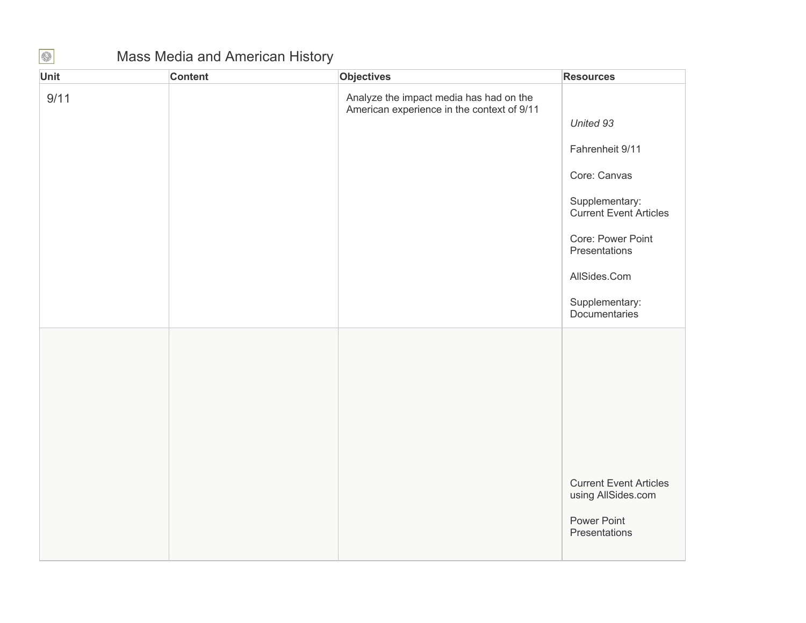## Mass Media and American History

| Unit | <b>Content</b> | Objectives                                                                            | <b>Resources</b>                                    |
|------|----------------|---------------------------------------------------------------------------------------|-----------------------------------------------------|
| 9/11 |                | Analyze the impact media has had on the<br>American experience in the context of 9/11 |                                                     |
|      |                |                                                                                       | United 93                                           |
|      |                |                                                                                       | Fahrenheit 9/11                                     |
|      |                |                                                                                       | Core: Canvas                                        |
|      |                |                                                                                       | Supplementary:<br>Current Event Articles            |
|      |                |                                                                                       | Core: Power Point<br>Presentations                  |
|      |                |                                                                                       | AllSides.Com                                        |
|      |                |                                                                                       | Supplementary:<br>Documentaries                     |
|      |                |                                                                                       |                                                     |
|      |                |                                                                                       |                                                     |
|      |                |                                                                                       |                                                     |
|      |                |                                                                                       |                                                     |
|      |                |                                                                                       |                                                     |
|      |                |                                                                                       | <b>Current Event Articles</b><br>using AllSides.com |
|      |                |                                                                                       | Power Point<br>Presentations                        |
|      |                |                                                                                       |                                                     |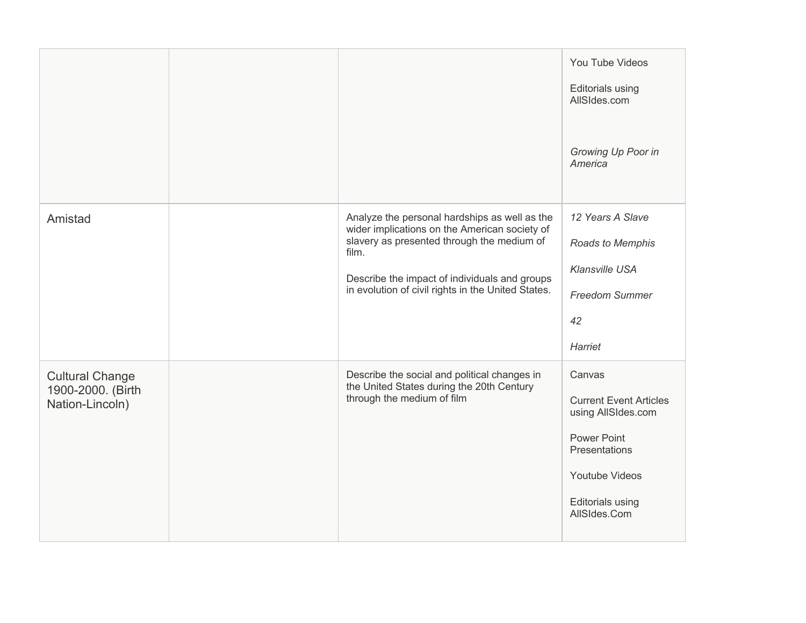|                                             |                                                                                                                                                       | You Tube Videos                                     |
|---------------------------------------------|-------------------------------------------------------------------------------------------------------------------------------------------------------|-----------------------------------------------------|
|                                             |                                                                                                                                                       | <b>Editorials using</b><br>AllSIdes.com             |
|                                             |                                                                                                                                                       | Growing Up Poor in<br>America                       |
| Amistad                                     | Analyze the personal hardships as well as the<br>wider implications on the American society of<br>slavery as presented through the medium of<br>film. | 12 Years A Slave<br>Roads to Memphis                |
|                                             | Describe the impact of individuals and groups<br>in evolution of civil rights in the United States.                                                   | <b>Klansville USA</b>                               |
|                                             |                                                                                                                                                       | Freedom Summer                                      |
|                                             |                                                                                                                                                       | 42                                                  |
|                                             |                                                                                                                                                       | Harriet                                             |
| <b>Cultural Change</b><br>1900-2000. (Birth | Describe the social and political changes in<br>the United States during the 20th Century                                                             | Canvas                                              |
| Nation-Lincoln)                             | through the medium of film                                                                                                                            | <b>Current Event Articles</b><br>using AllSIdes.com |
|                                             |                                                                                                                                                       | <b>Power Point</b><br>Presentations                 |
|                                             |                                                                                                                                                       | Youtube Videos                                      |
|                                             |                                                                                                                                                       | <b>Editorials using</b><br>AllSIdes.Com             |
|                                             |                                                                                                                                                       |                                                     |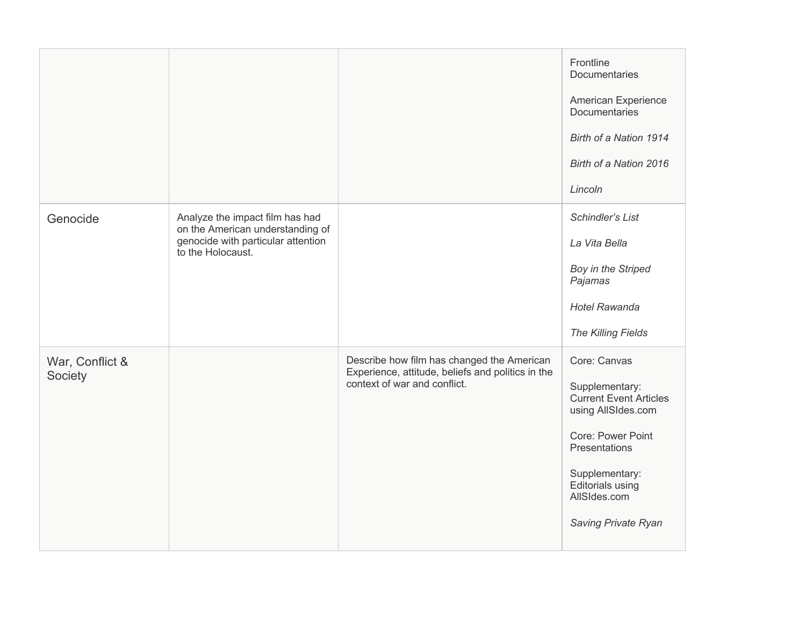|                            |                                                                                                                                |                                                                                                                                 | Frontline<br>Documentaries<br>American Experience<br><b>Documentaries</b><br>Birth of a Nation 1914<br>Birth of a Nation 2016<br>Lincoln                                                                 |
|----------------------------|--------------------------------------------------------------------------------------------------------------------------------|---------------------------------------------------------------------------------------------------------------------------------|----------------------------------------------------------------------------------------------------------------------------------------------------------------------------------------------------------|
| Genocide                   | Analyze the impact film has had<br>on the American understanding of<br>genocide with particular attention<br>to the Holocaust. |                                                                                                                                 | Schindler's List<br>La Vita Bella<br>Boy in the Striped<br>Pajamas<br><b>Hotel Rawanda</b><br>The Killing Fields                                                                                         |
| War, Conflict &<br>Society |                                                                                                                                | Describe how film has changed the American<br>Experience, attitude, beliefs and politics in the<br>context of war and conflict. | Core: Canvas<br>Supplementary:<br><b>Current Event Articles</b><br>using AllSIdes.com<br>Core: Power Point<br>Presentations<br>Supplementary:<br>Editorials using<br>AllSIdes.com<br>Saving Private Ryan |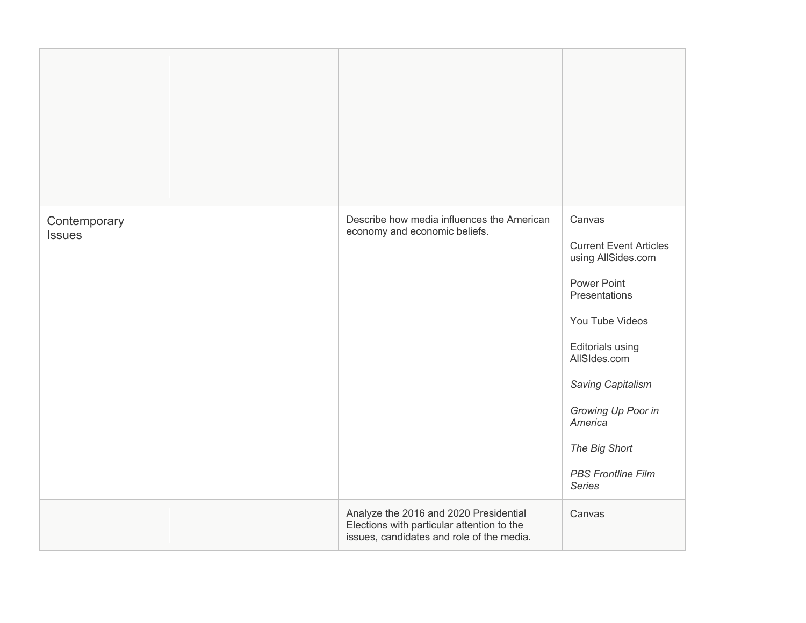| Contemporary<br><b>Issues</b> | Describe how media influences the American<br>economy and economic beliefs.                                                       | Canvas<br><b>Current Event Articles</b><br>using AllSides.com<br><b>Power Point</b><br>Presentations<br>You Tube Videos<br><b>Editorials using</b><br>AllSIdes.com<br>Saving Capitalism<br>Growing Up Poor in<br>America<br>The Big Short<br><b>PBS Frontline Film</b><br><b>Series</b> |
|-------------------------------|-----------------------------------------------------------------------------------------------------------------------------------|-----------------------------------------------------------------------------------------------------------------------------------------------------------------------------------------------------------------------------------------------------------------------------------------|
|                               | Analyze the 2016 and 2020 Presidential<br>Elections with particular attention to the<br>issues, candidates and role of the media. | Canvas                                                                                                                                                                                                                                                                                  |